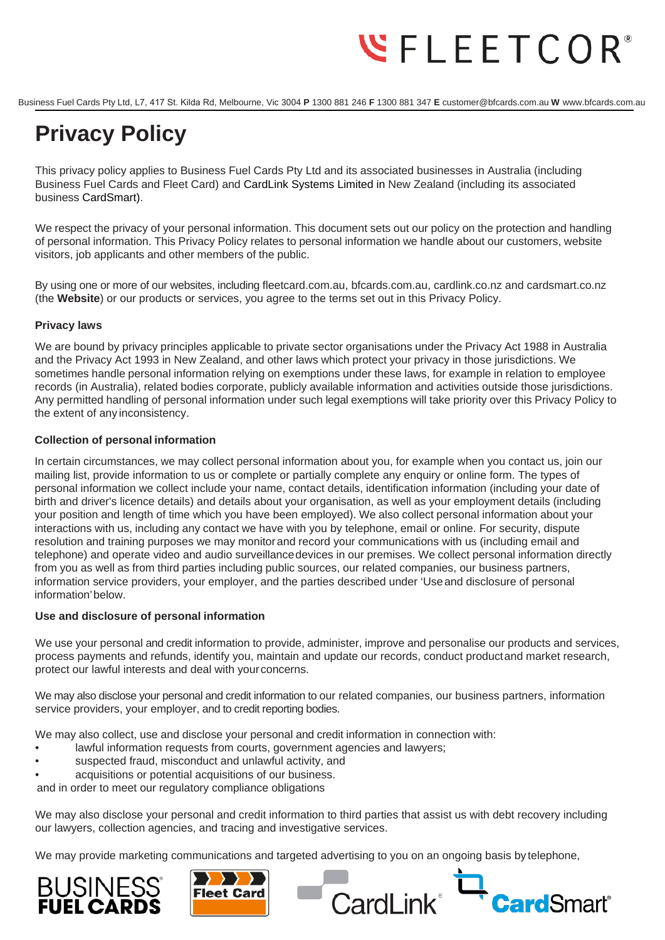# $\Psi$ FLEETCOR®

Business Fuel Cards Pty Ltd, L7, 417 St. Kilda Rd, Melbourne, Vic 3004 **P** 1300 881 246 **F** 1300 881 347 **E** customer@bfcards.com.au **W** www.bfcards.com.au

# **Privacy Policy**

This privacy policy applies to Business Fuel Cards Pty Ltd and its associated businesses in Australia (including Business Fuel Cards and Fleet Card) and CardLink Systems Limited in New Zealand (including its associated business CardSmart).

We respect the privacy of your personal information. This document sets out our policy on the protection and handling of personal information. This Privacy Policy relates to personal information we handle about our customers, website visitors, job applicants and other members of the public.

By using one or more of our websites, including fleetcard.com.au, bfcards.com.au, cardlink.co.nz and cardsmart.co.nz (the **Website**) or our products or services, you agree to the terms set out in this Privacy Policy.

# **Privacy laws**

We are bound by privacy principles applicable to private sector organisations under the Privacy Act 1988 in Australia and the Privacy Act 1993 in New Zealand, and other laws which protect your privacy in those jurisdictions. We sometimes handle personal information relying on exemptions under these laws, for example in relation to employee records (in Australia), related bodies corporate, publicly available information and activities outside those jurisdictions. Any permitted handling of personal information under such legal exemptions will take priority over this Privacy Policy to the extent of any inconsistency.

# **Collection of personal information**

In certain circumstances, we may collect personal information about you, for example when you contact us, join our mailing list, provide information to us or complete or partially complete any enquiry or online form. The types of personal information we collect include your name, contact details, identification information (including your date of birth and driver's licence details) and details about your organisation, as well as your employment details (including your position and length of time which you have been employed). We also collect personal information about your interactions with us, including any contact we have with you by telephone, email or online. For security, dispute resolution and training purposes we may monitorand record your communications with us (including email and telephone) and operate video and audio surveillancedevices in our premises. We collect personal information directly from you as well as from third parties including public sources, our related companies, our business partners, information service providers, your employer, and the parties described under 'Useand disclosure of personal information'below.

## **Use and disclosure of personal information**

We use your personal and credit information to provide, administer, improve and personalise our products and services, process payments and refunds, identify you, maintain and update our records, conduct productand market research, protect our lawful interests and deal with yourconcerns.

We may also disclose your personal and credit information to our related companies, our business partners, information service providers, your employer, and to credit reporting bodies.

We may also collect, use and disclose your personal and credit information in connection with:

- lawful information requests from courts, government agencies and lawyers;
- suspected fraud, misconduct and unlawful activity, and
- acquisitions or potential acquisitions of our business.

and in order to meet our regulatory compliance obligations

We may also disclose your personal and credit information to third parties that assist us with debt recovery including our lawyers, collection agencies, and tracing and investigative services.

We may provide marketing communications and targeted advertising to you on an ongoing basis by telephone,





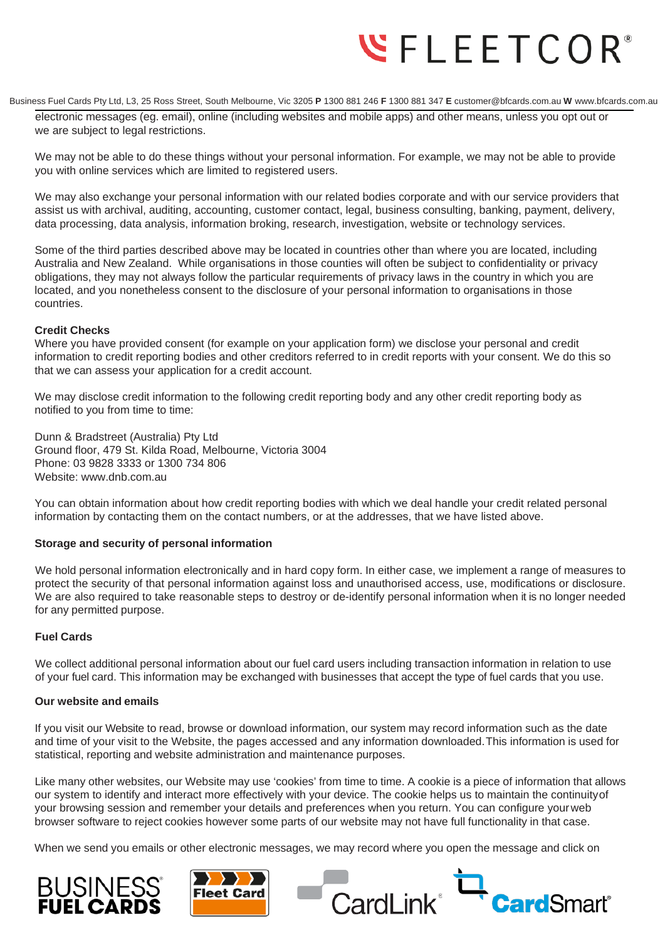# **WFLEETCOR**<sup>®</sup>

Business Fuel Cards Pty Ltd, L3, 25 Ross Street, South Melbourne, Vic 3205 **P** 1300 881 246 **F** 1300 881 347 **E** customer@bfcards.com.au **W** www.bfcards.com.au

electronic messages (eg. email), online (including websites and mobile apps) and other means, unless you opt out or we are subject to legal restrictions.

We may not be able to do these things without your personal information. For example, we may not be able to provide you with online services which are limited to registered users.

We may also exchange your personal information with our related bodies corporate and with our service providers that assist us with archival, auditing, accounting, customer contact, legal, business consulting, banking, payment, delivery, data processing, data analysis, information broking, research, investigation, website or technology services.

Some of the third parties described above may be located in countries other than where you are located, including Australia and New Zealand. While organisations in those counties will often be subject to confidentiality or privacy obligations, they may not always follow the particular requirements of privacy laws in the country in which you are located, and you nonetheless consent to the disclosure of your personal information to organisations in those countries.

# **Credit Checks**

Where you have provided consent (for example on your application form) we disclose your personal and credit information to credit reporting bodies and other creditors referred to in credit reports with your consent. We do this so that we can assess your application for a credit account.

We may disclose credit information to the following credit reporting body and any other credit reporting body as notified to you from time to time:

Dunn & Bradstreet (Australia) Pty Ltd Ground floor, 479 St. Kilda Road, Melbourne, Victoria 3004 Phone: 03 9828 3333 or 1300 734 806 Website: [www.dnb.com.au](http://www.dnb.com.au/)

You can obtain information about how credit reporting bodies with which we deal handle your credit related personal information by contacting them on the contact numbers, or at the addresses, that we have listed above.

## **Storage and security of personal information**

We hold personal information electronically and in hard copy form. In either case, we implement a range of measures to protect the security of that personal information against loss and unauthorised access, use, modifications or disclosure. We are also required to take reasonable steps to destroy or de-identify personal information when it is no longer needed for any permitted purpose.

## **Fuel Cards**

We collect additional personal information about our fuel card users including transaction information in relation to use of your fuel card. This information may be exchanged with businesses that accept the type of fuel cards that you use.

## **Our website and emails**

If you visit our Website to read, browse or download information, our system may record information such as the date and time of your visit to the Website, the pages accessed and any information downloaded.This information is used for statistical, reporting and website administration and maintenance purposes.

Like many other websites, our Website may use 'cookies' from time to time. A cookie is a piece of information that allows our system to identify and interact more effectively with your device. The cookie helps us to maintain the continuityof your browsing session and remember your details and preferences when you return. You can configure yourweb browser software to reject cookies however some parts of our website may not have full functionality in that case.

When we send you emails or other electronic messages, we may record where you open the message and click on